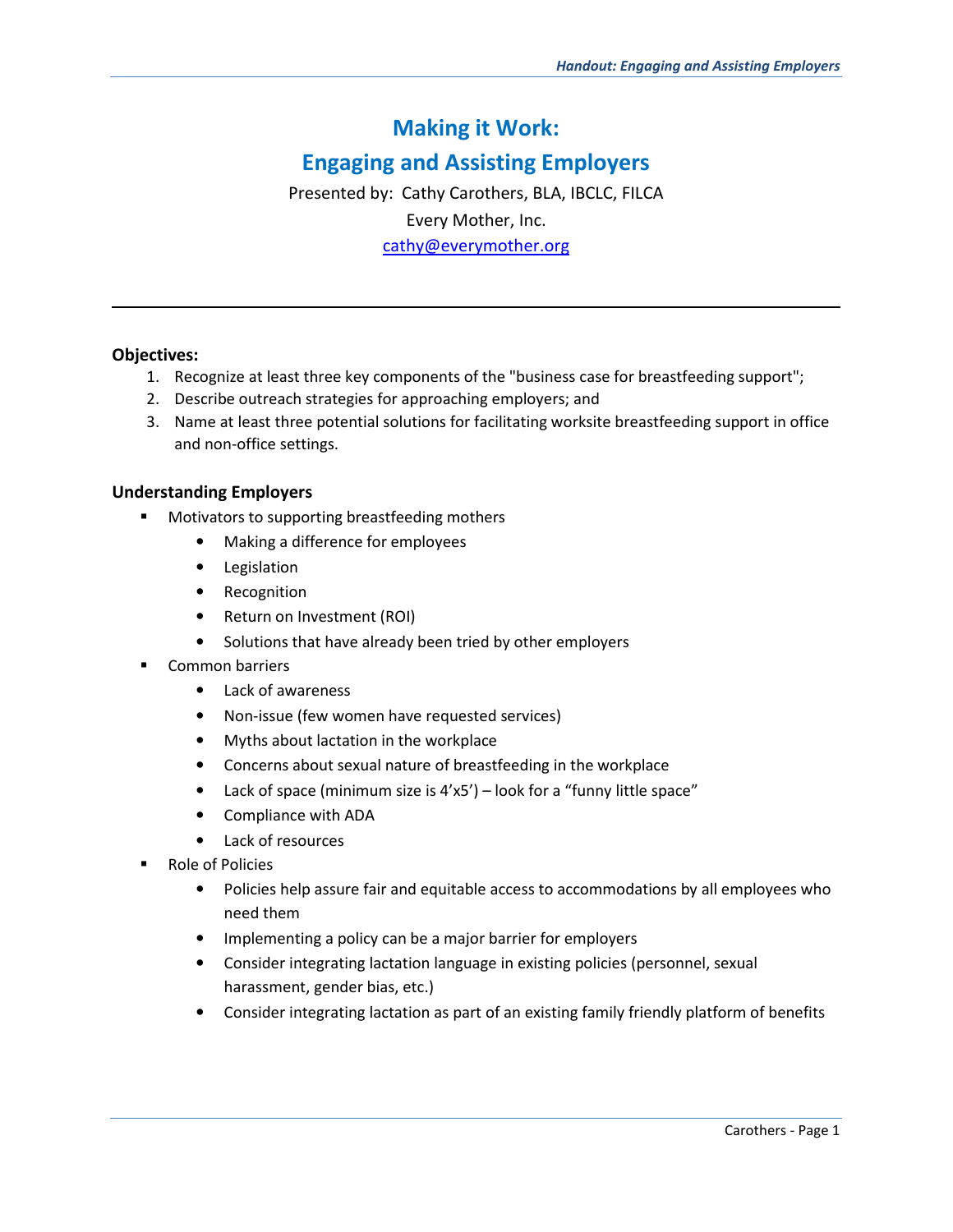# **Making it Work:**

# **Engaging and Assisting Employers**

Presented by: Cathy Carothers, BLA, IBCLC, FILCA Every Mother, Inc. cathy@everymother.org

#### **Objectives:**

l,

- 1. Recognize at least three key components of the "business case for breastfeeding support";
- 2. Describe outreach strategies for approaching employers; and
- 3. Name at least three potential solutions for facilitating worksite breastfeeding support in office and non-office settings.

#### **Understanding Employers**

- **Motivators to supporting breastfeeding mothers** 
	- Making a difference for employees
	- Legislation
	- Recognition
	- Return on Investment (ROI)
	- Solutions that have already been tried by other employers
- Common barriers
	- Lack of awareness
	- Non-issue (few women have requested services)
	- Myths about lactation in the workplace
	- Concerns about sexual nature of breastfeeding in the workplace
	- Lack of space (minimum size is 4'x5') look for a "funny little space"
	- Compliance with ADA
	- Lack of resources
- Role of Policies
	- Policies help assure fair and equitable access to accommodations by all employees who need them
	- Implementing a policy can be a major barrier for employers
	- Consider integrating lactation language in existing policies (personnel, sexual harassment, gender bias, etc.)
	- Consider integrating lactation as part of an existing family friendly platform of benefits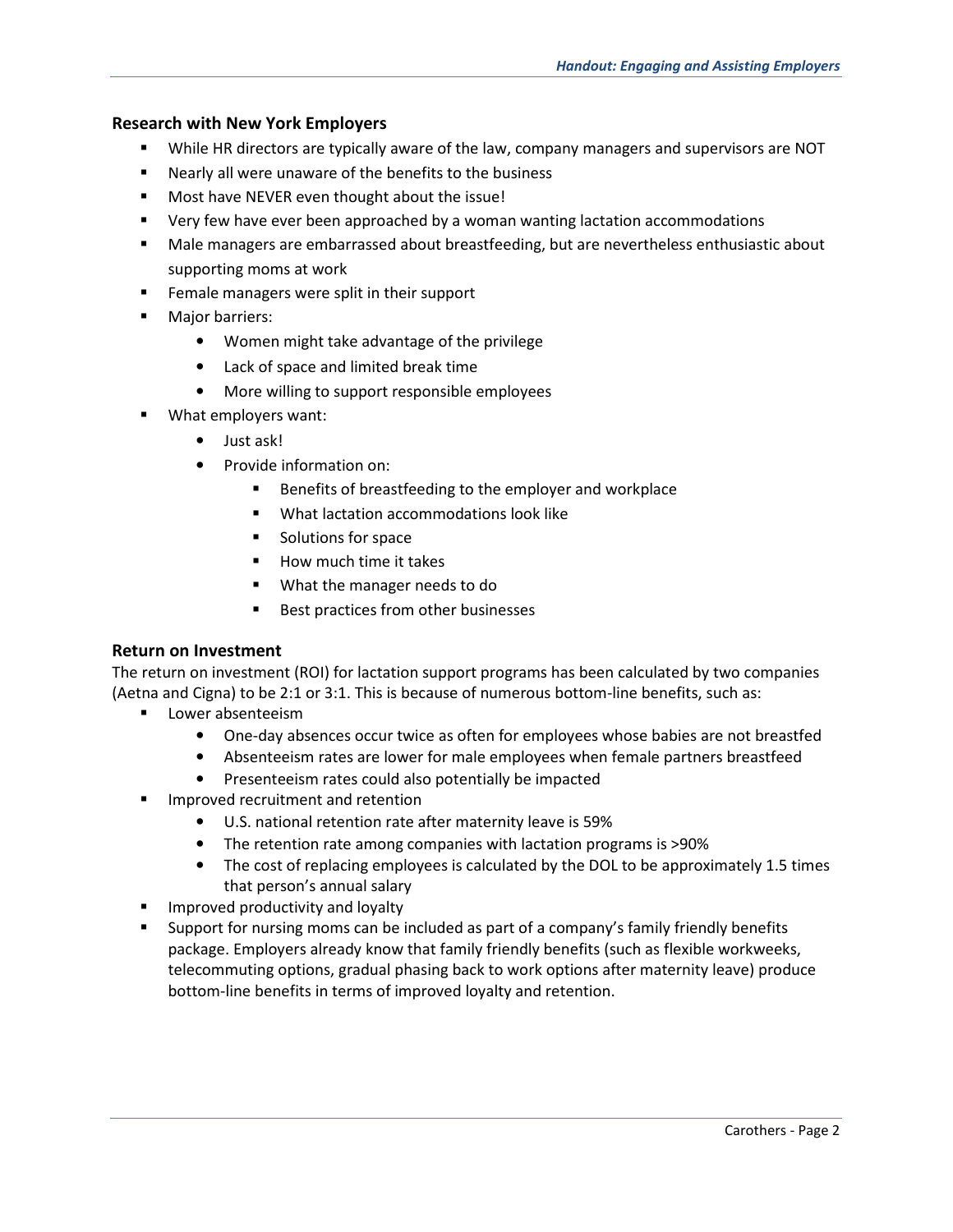### **Research with New York Employers**

- While HR directors are typically aware of the law, company managers and supervisors are NOT
- Nearly all were unaware of the benefits to the business
- **Most have NEVER even thought about the issue!**
- Very few have ever been approached by a woman wanting lactation accommodations
- Male managers are embarrassed about breastfeeding, but are nevertheless enthusiastic about supporting moms at work
- **Female managers were split in their support**
- **Major barriers:** 
	- Women might take advantage of the privilege
	- Lack of space and limited break time
	- More willing to support responsible employees
- What employers want:
	- Just ask!
	- Provide information on:
		- Benefits of breastfeeding to the employer and workplace
		- **What lactation accommodations look like**
		- **Solutions for space**
		- How much time it takes
		- What the manager needs to do
		- Best practices from other businesses

#### **Return on Investment**

The return on investment (ROI) for lactation support programs has been calculated by two companies (Aetna and Cigna) to be 2:1 or 3:1. This is because of numerous bottom-line benefits, such as:

- **Lower absenteeism** 
	- One-day absences occur twice as often for employees whose babies are not breastfed
	- Absenteeism rates are lower for male employees when female partners breastfeed
	- Presenteeism rates could also potentially be impacted
- **IMPROVED FECTURE 1999** Improved recruitment and retention
	- U.S. national retention rate after maternity leave is 59%
	- The retention rate among companies with lactation programs is >90%
	- The cost of replacing employees is calculated by the DOL to be approximately 1.5 times that person's annual salary
- **IMPROVED PRODUCTIVITY and loyalty**
- Support for nursing moms can be included as part of a company's family friendly benefits package. Employers already know that family friendly benefits (such as flexible workweeks, telecommuting options, gradual phasing back to work options after maternity leave) produce bottom-line benefits in terms of improved loyalty and retention.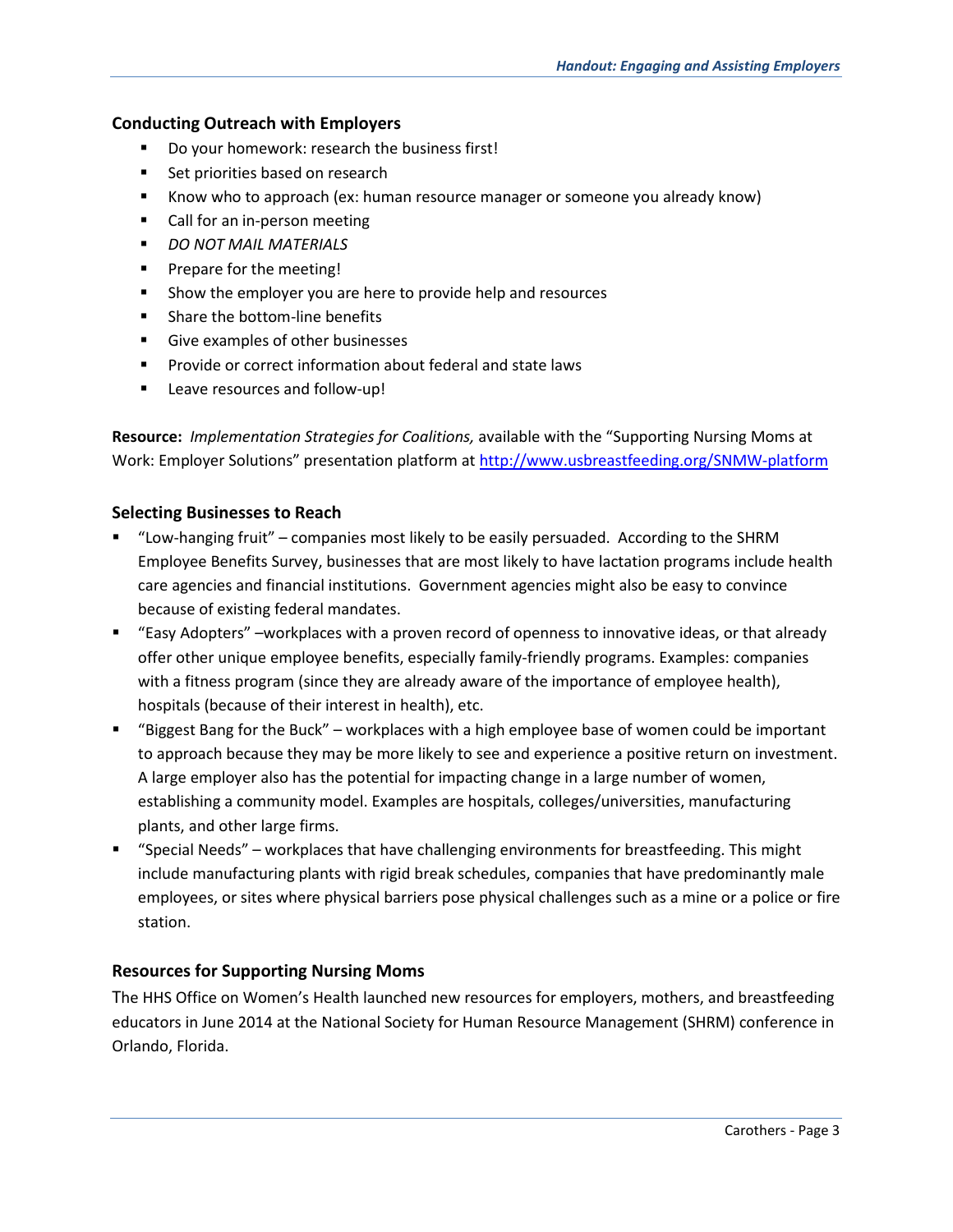### **Conducting Outreach with Employers**

- Do your homework: research the business first!
- Set priorities based on research
- Know who to approach (ex: human resource manager or someone you already know)
- Call for an in-person meeting
- *DO NOT MAIL MATERIALS*
- **Prepare for the meeting!**
- Show the employer you are here to provide help and resources
- **Share the bottom-line benefits**
- Give examples of other businesses
- **Provide or correct information about federal and state laws**
- **E** Leave resources and follow-up!

**Resource:** *Implementation Strategies for Coalitions,* available with the "Supporting Nursing Moms at Work: Employer Solutions" presentation platform at http://www.usbreastfeeding.org/SNMW-platform

### **Selecting Businesses to Reach**

- "Low-hanging fruit" companies most likely to be easily persuaded. According to the SHRM Employee Benefits Survey, businesses that are most likely to have lactation programs include health care agencies and financial institutions. Government agencies might also be easy to convince because of existing federal mandates.
- "Easy Adopters" –workplaces with a proven record of openness to innovative ideas, or that already offer other unique employee benefits, especially family-friendly programs. Examples: companies with a fitness program (since they are already aware of the importance of employee health), hospitals (because of their interest in health), etc.
- "Biggest Bang for the Buck" workplaces with a high employee base of women could be important to approach because they may be more likely to see and experience a positive return on investment. A large employer also has the potential for impacting change in a large number of women, establishing a community model. Examples are hospitals, colleges/universities, manufacturing plants, and other large firms.
- "Special Needs" workplaces that have challenging environments for breastfeeding. This might include manufacturing plants with rigid break schedules, companies that have predominantly male employees, or sites where physical barriers pose physical challenges such as a mine or a police or fire station.

# **Resources for Supporting Nursing Moms**

The HHS Office on Women's Health launched new resources for employers, mothers, and breastfeeding educators in June 2014 at the National Society for Human Resource Management (SHRM) conference in Orlando, Florida.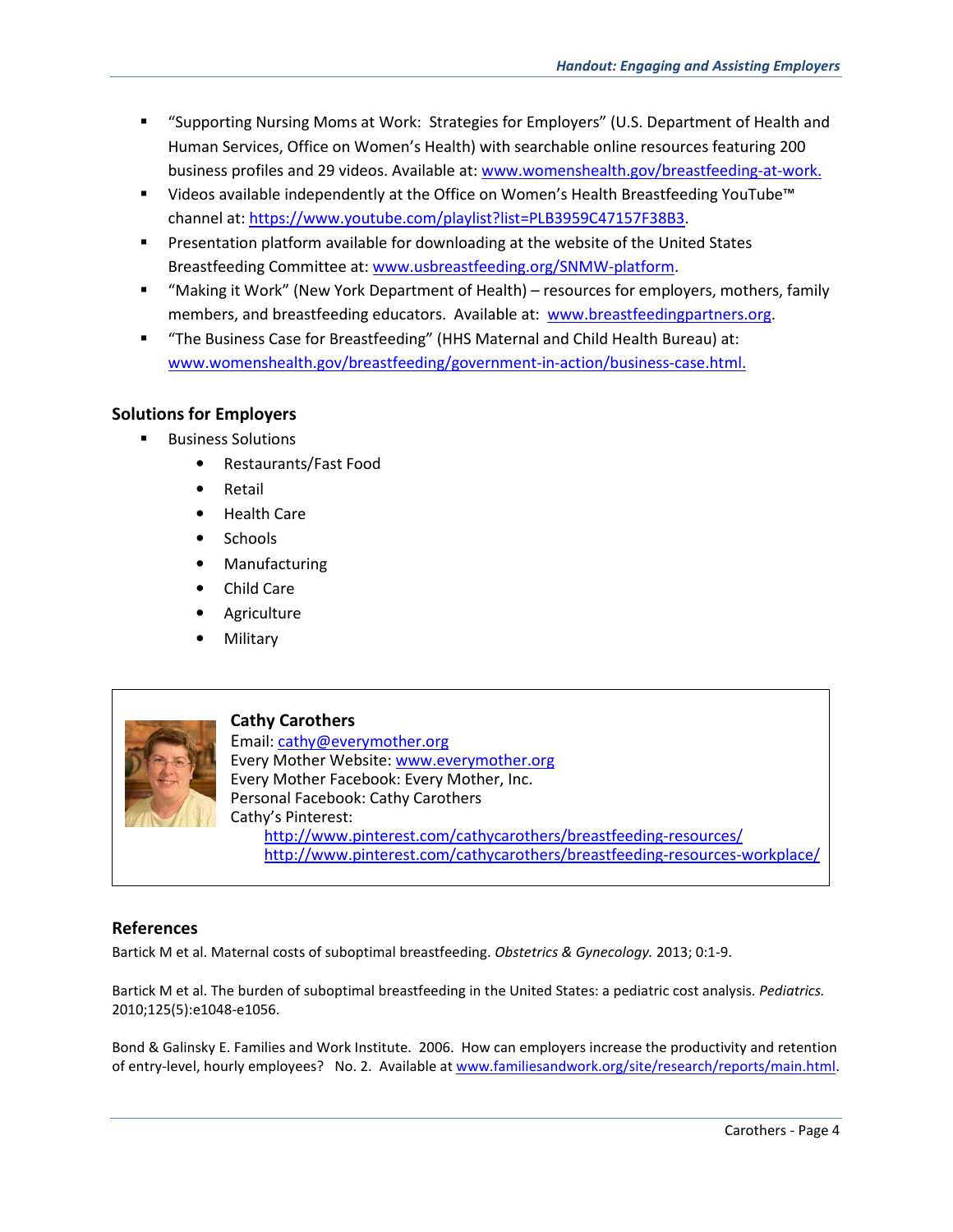- "Supporting Nursing Moms at Work: Strategies for Employers" (U.S. Department of Health and Human Services, Office on Women's Health) with searchable online resources featuring 200 business profiles and 29 videos. Available at: www.womenshealth.gov/breastfeeding-at-work.
- Videos available independently at the Office on Women's Health Breastfeeding YouTube™ channel at: https://www.youtube.com/playlist?list=PLB3959C47157F38B3.
- **Presentation platform available for downloading at the website of the United States** Breastfeeding Committee at: www.usbreastfeeding.org/SNMW-platform.
- "Making it Work" (New York Department of Health) resources for employers, mothers, family members, and breastfeeding educators. Available at: www.breastfeedingpartners.org.
- "The Business Case for Breastfeeding" (HHS Maternal and Child Health Bureau) at: www.womenshealth.gov/breastfeeding/government-in-action/business-case.html.

# **Solutions for Employers**

- **Business Solutions** 
	- Restaurants/Fast Food
	- **Retail**
	- Health Care
	- Schools
	- Manufacturing
	- Child Care
	- Agriculture
	- Military



**Cathy Carothers**  Email: cathy@everymother.org Every Mother Website: www.everymother.org Every Mother Facebook: Every Mother, Inc. Personal Facebook: Cathy Carothers Cathy's Pinterest: http://www.pinterest.com/cathycarothers/breastfeeding-resources/ http://www.pinterest.com/cathycarothers/breastfeeding-resources-workplace/

# **References**

Bartick M et al. Maternal costs of suboptimal breastfeeding. *Obstetrics & Gynecology.* 2013; 0:1-9.

Bartick M et al. The burden of suboptimal breastfeeding in the United States: a pediatric cost analysis. *Pediatrics.*  2010;125(5):e1048-e1056.

Bond & Galinsky E. Families and Work Institute. 2006. How can employers increase the productivity and retention of entry-level, hourly employees? No. 2. Available at www.familiesandwork.org/site/research/reports/main.html.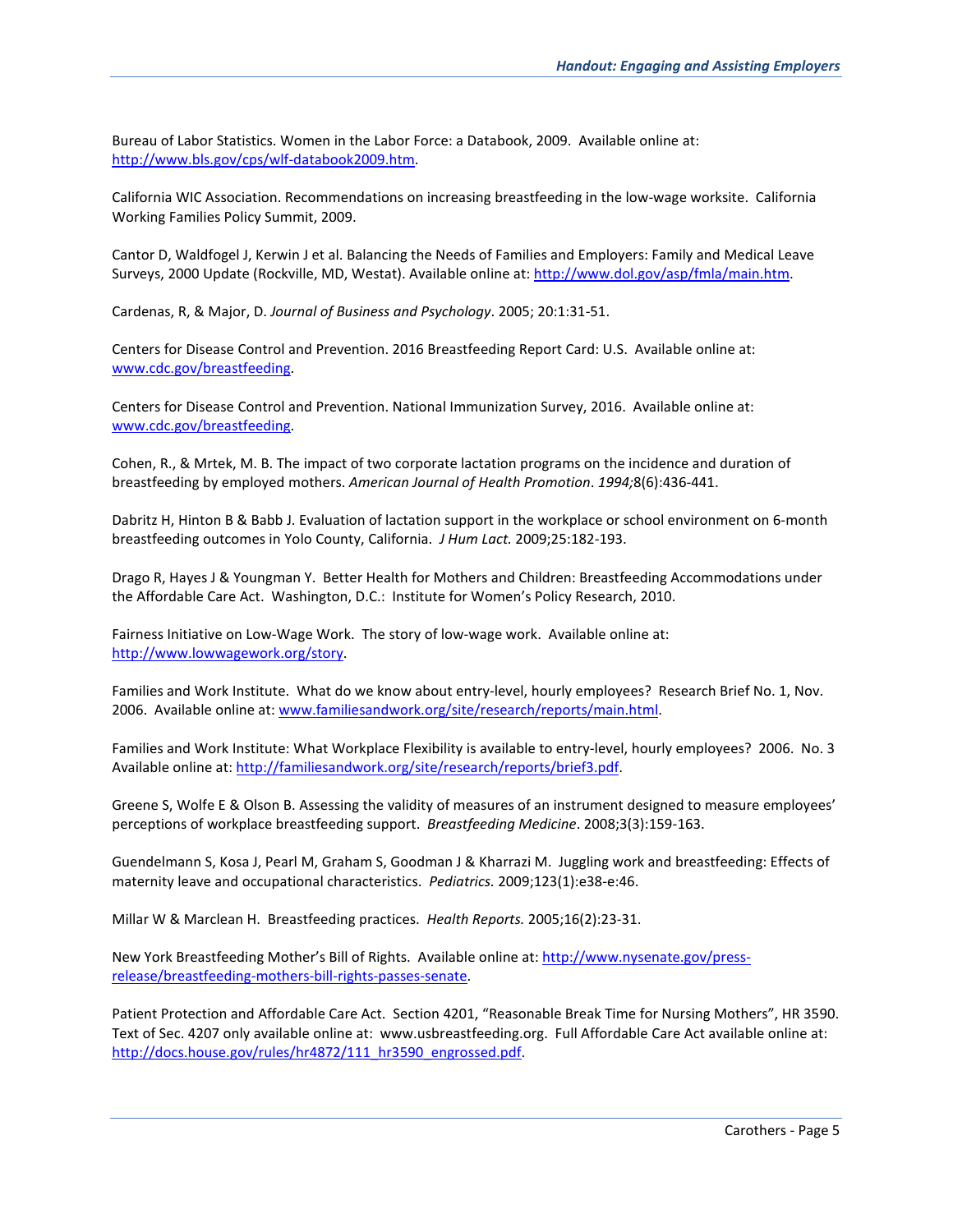Bureau of Labor Statistics. Women in the Labor Force: a Databook, 2009. Available online at: http://www.bls.gov/cps/wlf-databook2009.htm.

California WIC Association. Recommendations on increasing breastfeeding in the low-wage worksite. California Working Families Policy Summit, 2009.

Cantor D, Waldfogel J, Kerwin J et al. Balancing the Needs of Families and Employers: Family and Medical Leave Surveys, 2000 Update (Rockville, MD, Westat). Available online at: http://www.dol.gov/asp/fmla/main.htm.

Cardenas, R, & Major, D. *Journal of Business and Psychology*. 2005; 20:1:31-51.

Centers for Disease Control and Prevention. 2016 Breastfeeding Report Card: U.S. Available online at: www.cdc.gov/breastfeeding.

Centers for Disease Control and Prevention. National Immunization Survey, 2016. Available online at: www.cdc.gov/breastfeeding.

Cohen, R., & Mrtek, M. B. The impact of two corporate lactation programs on the incidence and duration of breastfeeding by employed mothers. *American Journal of Health Promotion*. *1994;*8(6):436-441.

Dabritz H, Hinton B & Babb J. Evaluation of lactation support in the workplace or school environment on 6-month breastfeeding outcomes in Yolo County, California. *J Hum Lact.* 2009;25:182-193.

Drago R, Hayes J & Youngman Y. Better Health for Mothers and Children: Breastfeeding Accommodations under the Affordable Care Act. Washington, D.C.: Institute for Women's Policy Research, 2010.

Fairness Initiative on Low-Wage Work. The story of low-wage work. Available online at: http://www.lowwagework.org/story.

Families and Work Institute. What do we know about entry-level, hourly employees? Research Brief No. 1, Nov. 2006. Available online at: www.familiesandwork.org/site/research/reports/main.html.

Families and Work Institute: What Workplace Flexibility is available to entry-level, hourly employees? 2006. No. 3 Available online at: http://familiesandwork.org/site/research/reports/brief3.pdf.

Greene S, Wolfe E & Olson B. Assessing the validity of measures of an instrument designed to measure employees' perceptions of workplace breastfeeding support. *Breastfeeding Medicine*. 2008;3(3):159-163.

Guendelmann S, Kosa J, Pearl M, Graham S, Goodman J & Kharrazi M. Juggling work and breastfeeding: Effects of maternity leave and occupational characteristics. *Pediatrics.* 2009;123(1):e38-e:46.

Millar W & Marclean H. Breastfeeding practices. *Health Reports.* 2005;16(2):23-31.

New York Breastfeeding Mother's Bill of Rights. Available online at: http://www.nysenate.gov/pressrelease/breastfeeding-mothers-bill-rights-passes-senate.

Patient Protection and Affordable Care Act. Section 4201, "Reasonable Break Time for Nursing Mothers", HR 3590. Text of Sec. 4207 only available online at: www.usbreastfeeding.org. Full Affordable Care Act available online at: http://docs.house.gov/rules/hr4872/111\_hr3590\_engrossed.pdf.